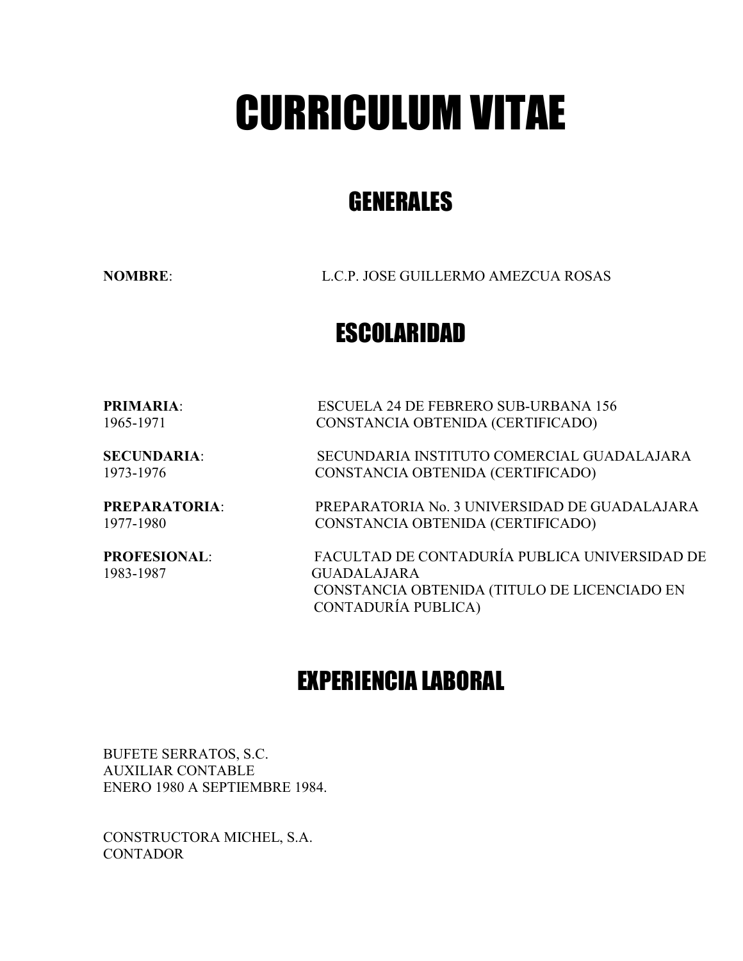# CURRICULUM VITAE

# GENERALES

NOMBRE: L.C.P. JOSE GUILLERMO AMEZCUA ROSAS

### ESCOLARIDAD

PRIMARIA: ESCUELA 24 DE FEBRERO SUB-URBANA 156 1965-1971 CONSTANCIA OBTENIDA (CERTIFICADO)

SECUNDARIA: SECUNDARIA INSTITUTO COMERCIAL GUADALAJARA 1973-1976 CONSTANCIA OBTENIDA (CERTIFICADO)

PREPARATORIA: PREPARATORIA No. 3 UNIVERSIDAD DE GUADALAJARA 1977-1980 CONSTANCIA OBTENIDA (CERTIFICADO)

PROFESIONAL: FACULTAD DE CONTADURÍA PUBLICA UNIVERSIDAD DE 1983-1987 GUADALAJARA CONSTANCIA OBTENIDA (TITULO DE LICENCIADO EN CONTADURÍA PUBLICA)

## EXPERIENCIA LABORAL

BUFETE SERRATOS, S.C. AUXILIAR CONTABLE ENERO 1980 A SEPTIEMBRE 1984.

CONSTRUCTORA MICHEL, S.A. **CONTADOR**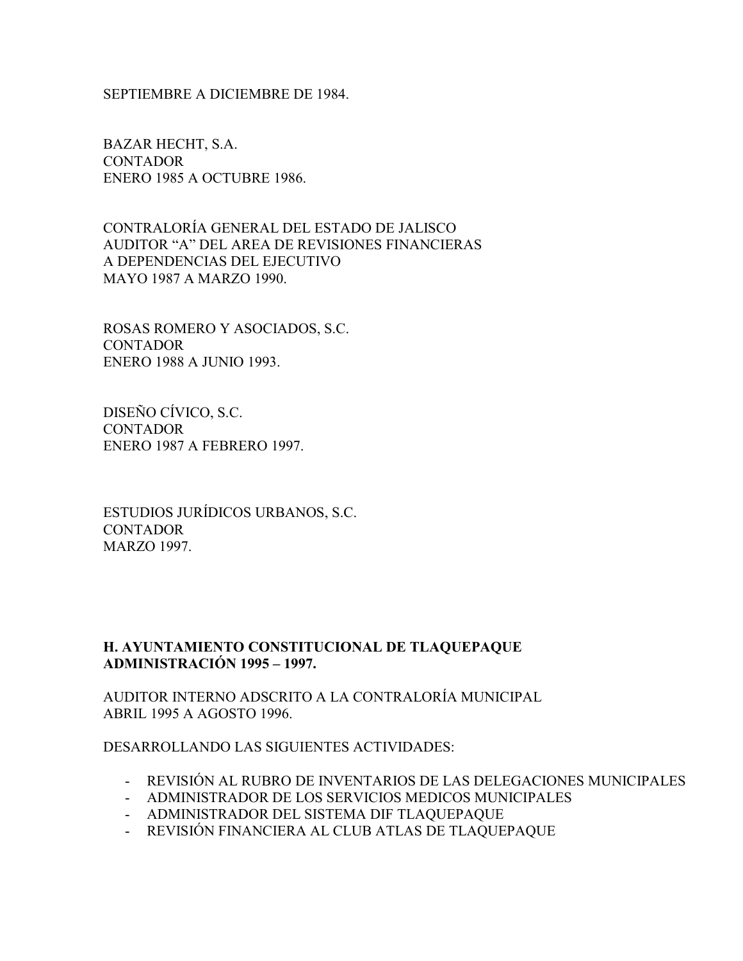SEPTIEMBRE A DICIEMBRE DE 1984.

BAZAR HECHT, S.A. **CONTADOR** ENERO 1985 A OCTUBRE 1986.

CONTRALORÍA GENERAL DEL ESTADO DE JALISCO AUDITOR "A" DEL AREA DE REVISIONES FINANCIERAS A DEPENDENCIAS DEL EJECUTIVO MAYO 1987 A MARZO 1990.

ROSAS ROMERO Y ASOCIADOS, S.C. **CONTADOR** ENERO 1988 A JUNIO 1993.

DISEÑO CÍVICO, S.C. **CONTADOR** ENERO 1987 A FEBRERO 1997.

ESTUDIOS JURÍDICOS URBANOS, S.C. **CONTADOR** MARZO 1997.

#### H. AYUNTAMIENTO CONSTITUCIONAL DE TLAQUEPAQUE ADMINISTRACIÓN 1995 – 1997.

AUDITOR INTERNO ADSCRITO A LA CONTRALORÍA MUNICIPAL ABRIL 1995 A AGOSTO 1996.

DESARROLLANDO LAS SIGUIENTES ACTIVIDADES:

- REVISIÓN AL RUBRO DE INVENTARIOS DE LAS DELEGACIONES MUNICIPALES
- ADMINISTRADOR DE LOS SERVICIOS MEDICOS MUNICIPALES
- ADMINISTRADOR DEL SISTEMA DIF TLAQUEPAQUE
- REVISIÓN FINANCIERA AL CLUB ATLAS DE TLAQUEPAQUE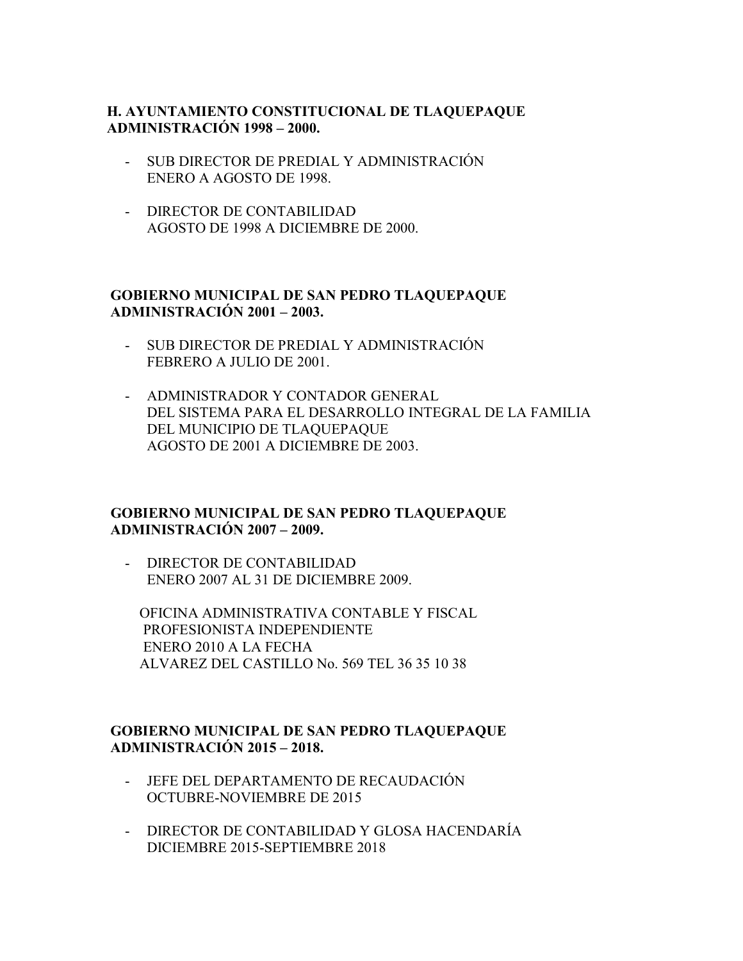#### H. AYUNTAMIENTO CONSTITUCIONAL DE TLAQUEPAQUE ADMINISTRACIÓN 1998 – 2000.

- SUB DIRECTOR DE PREDIAL Y ADMINISTRACIÓN ENERO A AGOSTO DE 1998.
- DIRECTOR DE CONTABILIDAD AGOSTO DE 1998 A DICIEMBRE DE 2000.

#### GOBIERNO MUNICIPAL DE SAN PEDRO TLAQUEPAQUE ADMINISTRACIÓN 2001 – 2003.

- SUB DIRECTOR DE PREDIAL Y ADMINISTRACIÓN FEBRERO A JULIO DE 2001.
- ADMINISTRADOR Y CONTADOR GENERAL DEL SISTEMA PARA EL DESARROLLO INTEGRAL DE LA FAMILIA DEL MUNICIPIO DE TLAQUEPAQUE AGOSTO DE 2001 A DICIEMBRE DE 2003.

#### GOBIERNO MUNICIPAL DE SAN PEDRO TLAQUEPAQUE ADMINISTRACIÓN 2007 – 2009.

- DIRECTOR DE CONTABILIDAD ENERO 2007 AL 31 DE DICIEMBRE 2009.

 OFICINA ADMINISTRATIVA CONTABLE Y FISCAL PROFESIONISTA INDEPENDIENTE ENERO 2010 A LA FECHA ALVAREZ DEL CASTILLO No. 569 TEL 36 35 10 38

#### GOBIERNO MUNICIPAL DE SAN PEDRO TLAQUEPAQUE ADMINISTRACIÓN 2015 – 2018.

- JEFE DEL DEPARTAMENTO DE RECAUDACIÓN OCTUBRE-NOVIEMBRE DE 2015
- DIRECTOR DE CONTABILIDAD Y GLOSA HACENDARÍA DICIEMBRE 2015-SEPTIEMBRE 2018